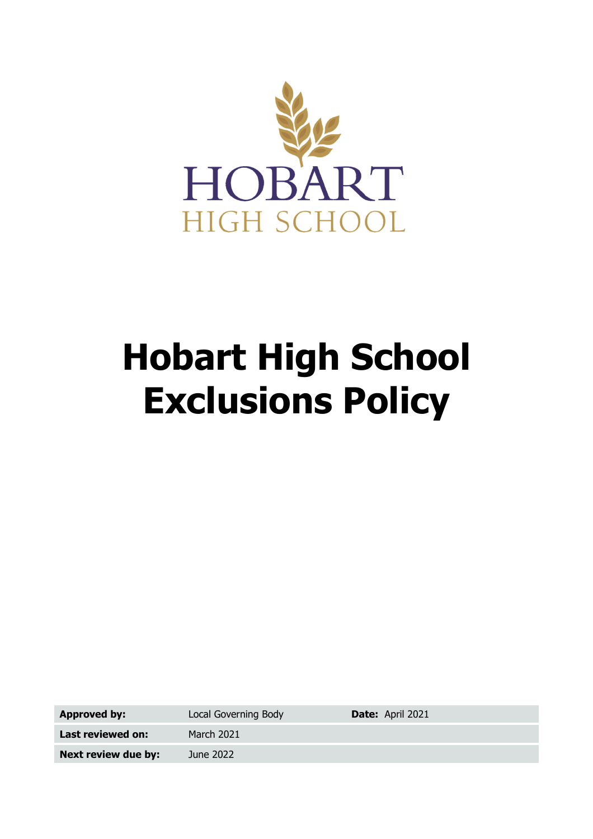

# **Hobart High School Exclusions Policy**

**Approved by:** Local Governing Body **Date:** April 2021

Last reviewed on: March 2021 **Next review due by:** June 2022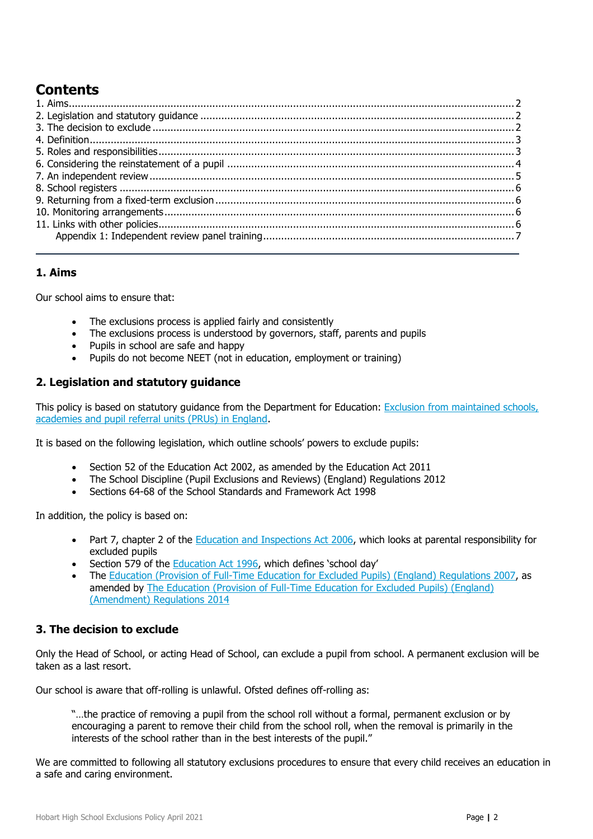## **Contents**

## <span id="page-1-0"></span>**1. Aims**

Our school aims to ensure that:

- The exclusions process is applied fairly and consistently
- The exclusions process is understood by governors, staff, parents and pupils
- Pupils in school are safe and happy
- Pupils do not become NEET (not in education, employment or training)

## <span id="page-1-1"></span>**2. Legislation and statutory guidance**

This policy is based on statutory guidance from the Department for Education: Exclusion from maintained schools, [academies and pupil referral units \(PRUs\) in England.](https://www.gov.uk/government/publications/school-exclusion)

It is based on the following legislation, which outline schools' powers to exclude pupils:

- Section 52 of the [Education Act 2002,](http://www.legislation.gov.uk/ukpga/2002/32/section/52) as amended by the [Education Act 2011](http://www.legislation.gov.uk/ukpga/2011/21/contents/enacted)
- [The School Discipline \(Pupil Exclusions and Reviews\) \(England\) Regulations 2012](http://www.legislation.gov.uk/uksi/2012/1033/made)
- Sections 64-68 of the [School Standards and Framework Act 1998](http://www.legislation.gov.uk/ukpga/1998/31)

In addition, the policy is based on:

- Part 7, chapter 2 of the **Education and Inspections Act 2006**, which looks at parental responsibility for excluded pupils
- Section 579 of the **Education Act 1996**, which defines 'school day'
- The [Education \(Provision of Full-Time Education for Excluded Pupils\) \(England\) Regulations 2007,](http://www.legislation.gov.uk/uksi/2007/1870/contents/made) as amended by [The Education \(Provision of Full-Time Education for Excluded Pupils\) \(England\)](http://www.legislation.gov.uk/uksi/2014/3216/contents/made)  [\(Amendment\) Regulations 2014](http://www.legislation.gov.uk/uksi/2014/3216/contents/made)

## <span id="page-1-2"></span>**3. The decision to exclude**

Only the Head of School, or acting Head of School, can exclude a pupil from school. A permanent exclusion will be taken as a last resort.

Our school is aware that off-rolling is unlawful. Ofsted defines off-rolling as:

"…the practice of removing a pupil from the school roll without a formal, permanent exclusion or by encouraging a parent to remove their child from the school roll, when the removal is primarily in the interests of the school rather than in the best interests of the pupil."

We are committed to following all statutory exclusions procedures to ensure that every child receives an education in a safe and caring environment.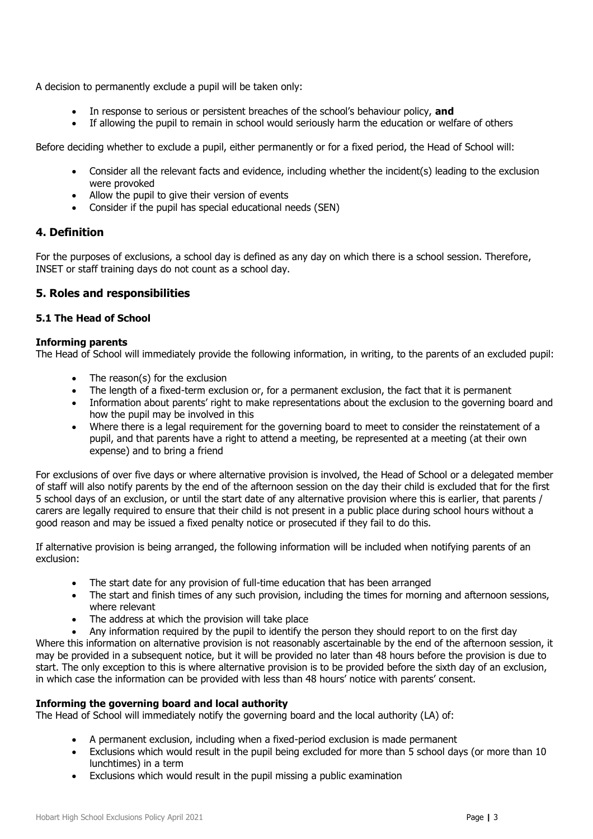A decision to permanently exclude a pupil will be taken only:

- In response to serious or persistent breaches of the school's behaviour policy, **and**
- If allowing the pupil to remain in school would seriously harm the education or welfare of others

Before deciding whether to exclude a pupil, either permanently or for a fixed period, the Head of School will:

- Consider all the relevant facts and evidence, including whether the incident(s) leading to the exclusion were provoked
- Allow the pupil to give their version of events
- Consider if the pupil has special educational needs (SEN)

#### <span id="page-2-0"></span>**4. Definition**

For the purposes of exclusions, a school day is defined as any day on which there is a school session. Therefore, INSET or staff training days do not count as a school day.

#### <span id="page-2-1"></span>**5. Roles and responsibilities**

#### **5.1 The Head of School**

#### **Informing parents**

The Head of School will immediately provide the following information, in writing, to the parents of an excluded pupil:

- The reason(s) for the exclusion
- The length of a fixed-term exclusion or, for a permanent exclusion, the fact that it is permanent
- Information about parents' right to make representations about the exclusion to the governing board and how the pupil may be involved in this
- Where there is a legal requirement for the governing board to meet to consider the reinstatement of a pupil, and that parents have a right to attend a meeting, be represented at a meeting (at their own expense) and to bring a friend

For exclusions of over five days or where alternative provision is involved, the Head of School or a delegated member of staff will also notify parents by the end of the afternoon session on the day their child is excluded that for the first 5 school days of an exclusion, or until the start date of any alternative provision where this is earlier, that parents / carers are legally required to ensure that their child is not present in a public place during school hours without a good reason and may be issued a fixed penalty notice or prosecuted if they fail to do this.

If alternative provision is being arranged, the following information will be included when notifying parents of an exclusion:

- The start date for any provision of full-time education that has been arranged
- The start and finish times of any such provision, including the times for morning and afternoon sessions, where relevant
- The address at which the provision will take place
- Any information required by the pupil to identify the person they should report to on the first day

Where this information on alternative provision is not reasonably ascertainable by the end of the afternoon session, it may be provided in a subsequent notice, but it will be provided no later than 48 hours before the provision is due to start. The only exception to this is where alternative provision is to be provided before the sixth day of an exclusion, in which case the information can be provided with less than 48 hours' notice with parents' consent.

#### **Informing the governing board and local authority**

The Head of School will immediately notify the governing board and the local authority (LA) of:

- A permanent exclusion, including when a fixed-period exclusion is made permanent
- Exclusions which would result in the pupil being excluded for more than 5 school days (or more than 10 lunchtimes) in a term
- Exclusions which would result in the pupil missing a public examination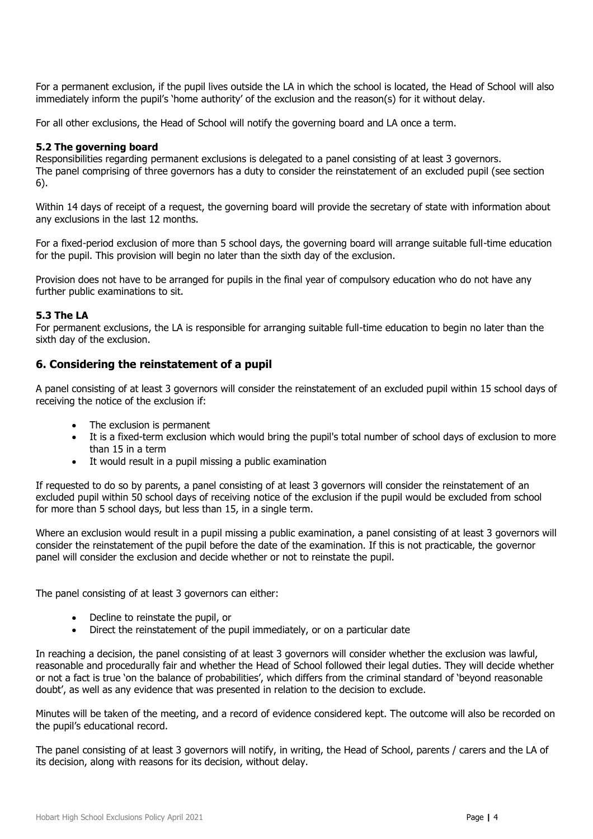For a permanent exclusion, if the pupil lives outside the LA in which the school is located, the Head of School will also immediately inform the pupil's 'home authority' of the exclusion and the reason(s) for it without delay.

For all other exclusions, the Head of School will notify the governing board and LA once a term.

#### **5.2 The governing board**

Responsibilities regarding permanent exclusions is delegated to a panel consisting of at least 3 governors. The panel comprising of three governors has a duty to consider the reinstatement of an excluded pupil (see section 6).

Within 14 days of receipt of a request, the governing board will provide the secretary of state with information about any exclusions in the last 12 months.

For a fixed-period exclusion of more than 5 school days, the governing board will arrange suitable full-time education for the pupil. This provision will begin no later than the sixth day of the exclusion.

Provision does not have to be arranged for pupils in the final year of compulsory education who do not have any further public examinations to sit.

#### **5.3 The LA**

For permanent exclusions, the LA is responsible for arranging suitable full-time education to begin no later than the sixth day of the exclusion.

#### <span id="page-3-0"></span>**6. Considering the reinstatement of a pupil**

A panel consisting of at least 3 governors will consider the reinstatement of an excluded pupil within 15 school days of receiving the notice of the exclusion if:

- The exclusion is permanent
- It is a fixed-term exclusion which would bring the pupil's total number of school days of exclusion to more than 15 in a term
- It would result in a pupil missing a public examination

If requested to do so by parents, a panel consisting of at least 3 governors will consider the reinstatement of an excluded pupil within 50 school days of receiving notice of the exclusion if the pupil would be excluded from school for more than 5 school days, but less than 15, in a single term.

Where an exclusion would result in a pupil missing a public examination, a panel consisting of at least 3 governors will consider the reinstatement of the pupil before the date of the examination. If this is not practicable, the governor panel will consider the exclusion and decide whether or not to reinstate the pupil.

The panel consisting of at least 3 governors can either:

- Decline to reinstate the pupil, or
- Direct the reinstatement of the pupil immediately, or on a particular date

In reaching a decision, the panel consisting of at least 3 governors will consider whether the exclusion was lawful, reasonable and procedurally fair and whether the Head of School followed their legal duties. They will decide whether or not a fact is true 'on the balance of probabilities', which differs from the criminal standard of 'beyond reasonable doubt', as well as any evidence that was presented in relation to the decision to exclude.

Minutes will be taken of the meeting, and a record of evidence considered kept. The outcome will also be recorded on the pupil's educational record.

The panel consisting of at least 3 governors will notify, in writing, the Head of School, parents / carers and the LA of its decision, along with reasons for its decision, without delay.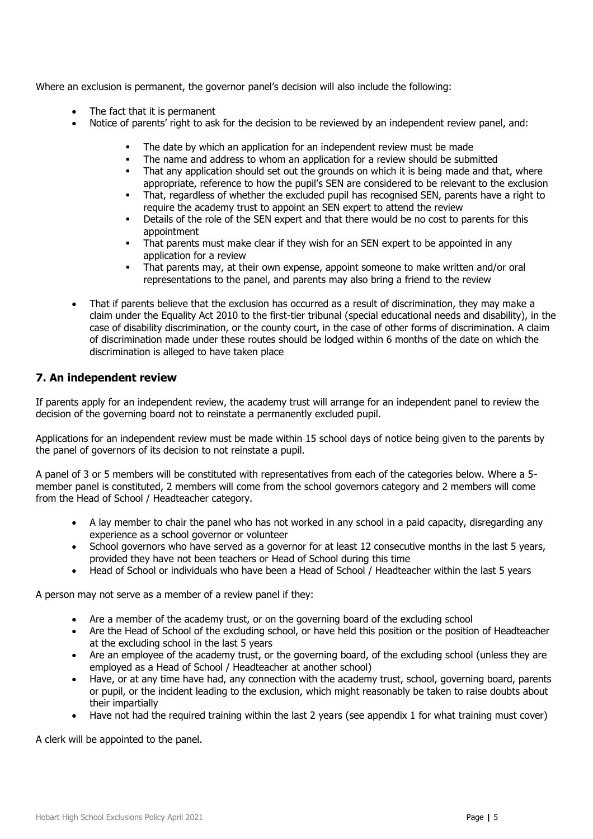Where an exclusion is permanent, the governor panel's decision will also include the following:

- The fact that it is permanent
- Notice of parents' right to ask for the decision to be reviewed by an independent review panel, and:
	- The date by which an application for an independent review must be made
	- The name and address to whom an application for a review should be submitted
	- That any application should set out the grounds on which it is being made and that, where appropriate, reference to how the pupil's SEN are considered to be relevant to the exclusion
	- That, regardless of whether the excluded pupil has recognised SEN, parents have a right to require the academy trust to appoint an SEN expert to attend the review
	- Details of the role of the SEN expert and that there would be no cost to parents for this appointment
	- That parents must make clear if they wish for an SEN expert to be appointed in any application for a review
	- That parents may, at their own expense, appoint someone to make written and/or oral representations to the panel, and parents may also bring a friend to the review
- That if parents believe that the exclusion has occurred as a result of discrimination, they may make a claim under the Equality Act 2010 to the first-tier tribunal (special educational needs and disability), in the case of disability discrimination, or the county court, in the case of other forms of discrimination. A claim of discrimination made under these routes should be lodged within 6 months of the date on which the discrimination is alleged to have taken place

## <span id="page-4-0"></span>**7. An independent review**

If parents apply for an independent review, the academy trust will arrange for an independent panel to review the decision of the governing board not to reinstate a permanently excluded pupil.

Applications for an independent review must be made within 15 school days of notice being given to the parents by the panel of governors of its decision to not reinstate a pupil.

A panel of 3 or 5 members will be constituted with representatives from each of the categories below. Where a 5 member panel is constituted, 2 members will come from the school governors category and 2 members will come from the Head of School / Headteacher category.

- A lay member to chair the panel who has not worked in any school in a paid capacity, disregarding any experience as a school governor or volunteer
- School governors who have served as a governor for at least 12 consecutive months in the last 5 years, provided they have not been teachers or Head of School during this time
- Head of School or individuals who have been a Head of School / Headteacher within the last 5 years

A person may not serve as a member of a review panel if they:

- Are a member of the academy trust, or on the governing board of the excluding school
- Are the Head of School of the excluding school, or have held this position or the position of Headteacher at the excluding school in the last 5 years
- Are an employee of the academy trust, or the governing board, of the excluding school (unless they are employed as a Head of School / Headteacher at another school)
- Have, or at any time have had, any connection with the academy trust, school, governing board, parents or pupil, or the incident leading to the exclusion, which might reasonably be taken to raise doubts about their impartially
- Have not had the required training within the last 2 years (see appendix 1 for what training must cover)

A clerk will be appointed to the panel.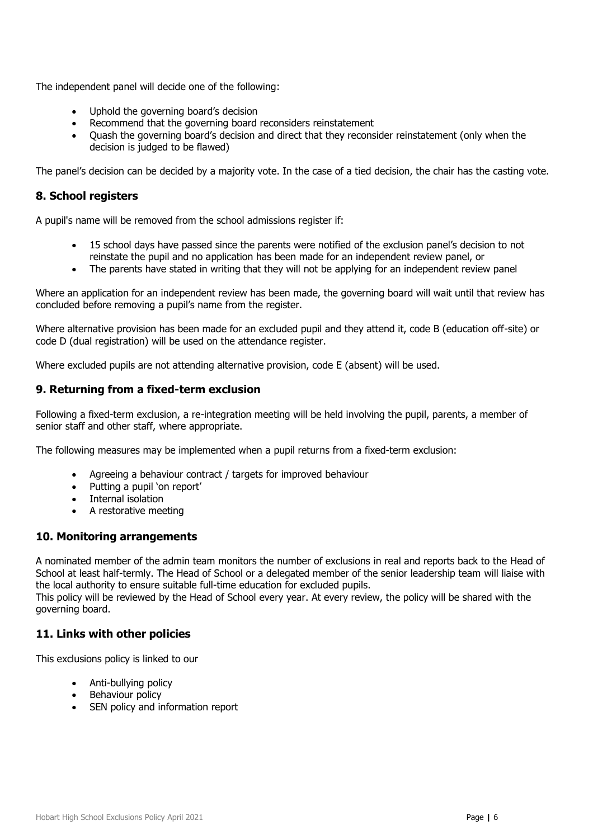The independent panel will decide one of the following:

- Uphold the governing board's decision
- Recommend that the governing board reconsiders reinstatement
- Quash the governing board's decision and direct that they reconsider reinstatement (only when the decision is judged to be flawed)

The panel's decision can be decided by a majority vote. In the case of a tied decision, the chair has the casting vote.

### <span id="page-5-0"></span>**8. School registers**

A pupil's name will be removed from the school admissions register if:

- 15 school days have passed since the parents were notified of the exclusion panel's decision to not reinstate the pupil and no application has been made for an independent review panel, or
- The parents have stated in writing that they will not be applying for an independent review panel

Where an application for an independent review has been made, the governing board will wait until that review has concluded before removing a pupil's name from the register.

Where alternative provision has been made for an excluded pupil and they attend it, code B (education off-site) or code D (dual registration) will be used on the attendance register.

Where excluded pupils are not attending alternative provision, code E (absent) will be used.

#### <span id="page-5-1"></span>**9. Returning from a fixed-term exclusion**

Following a fixed-term exclusion, a re-integration meeting will be held involving the pupil, parents, a member of senior staff and other staff, where appropriate.

The following measures may be implemented when a pupil returns from a fixed-term exclusion:

- Agreeing a behaviour contract / targets for improved behaviour
- Putting a pupil 'on report'
- Internal isolation
- A restorative meeting

#### <span id="page-5-2"></span>**10. Monitoring arrangements**

A nominated member of the admin team monitors the number of exclusions in real and reports back to the Head of School at least half-termly. The Head of School or a delegated member of the senior leadership team will liaise with the local authority to ensure suitable full-time education for excluded pupils.

This policy will be reviewed by the Head of School every year. At every review, the policy will be shared with the governing board.

#### <span id="page-5-3"></span>**11. Links with other policies**

This exclusions policy is linked to our

- Anti-bullying policy
- Behaviour policy
- SEN policy and information report